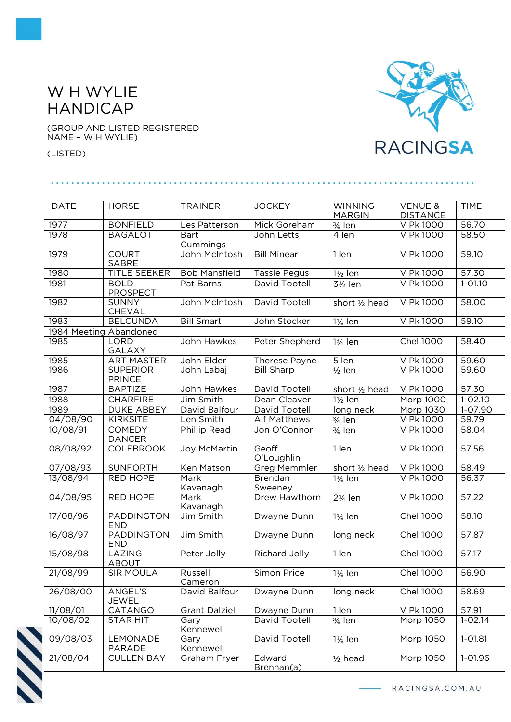## W H WYLIE HANDICAP

(GROUP AND LISTED REGISTERED NAME – W H WYLIE)

(LISTED)

. . . . . . . . . .



| <b>DATE</b> | <b>HORSE</b>                     | <b>TRAINER</b>          | <b>JOCKEY</b>        | <b>WINNING</b><br><b>MARGIN</b> | <b>VENUE &amp;</b><br><b>DISTANCE</b> | <b>TIME</b> |
|-------------|----------------------------------|-------------------------|----------------------|---------------------------------|---------------------------------------|-------------|
| 1977        | <b>BONFIELD</b>                  | Les Patterson           | Mick Goreham         | $\frac{3}{4}$ len               | V Pk 1000                             | 56.70       |
| 1978        | <b>BAGALOT</b>                   | <b>Bart</b><br>Cummings | John Letts           | 4 len                           | V Pk 1000                             | 58.50       |
| 1979        | <b>COURT</b><br><b>SABRE</b>     | John McIntosh           | <b>Bill Minear</b>   | $1$ len                         | V Pk 1000                             | 59.10       |
| 1980        | TITLE SEEKER                     | <b>Bob Mansfield</b>    | <b>Tassie Pegus</b>  | $1\frac{1}{2}$ len              | V Pk 1000                             | 57.30       |
| 1981        | <b>BOLD</b><br><b>PROSPECT</b>   | Pat Barns               | David Tootell        | 3½ len                          | V Pk 1000                             | $1 - 01.10$ |
| 1982        | <b>SUNNY</b><br>CHEVAL           | John McIntosh           | David Tootell        | short 1/2 head                  | V Pk 1000                             | 58,00       |
| 1983        | <b>BELCUNDA</b>                  | <b>Bill Smart</b>       | John Stocker         | 1¼ len                          | V Pk 1000                             | 59.10       |
|             | 1984 Meeting Abandoned           |                         |                      |                                 |                                       |             |
| 1985        | <b>LORD</b><br><b>GALAXY</b>     | John Hawkes             | Peter Shepherd       | 13/ <sub>4</sub> len            | <b>Chel 1000</b>                      | 58.40       |
| 1985        | <b>ART MASTER</b>                | John Elder              | Therese Payne        | 5 len                           | V Pk 1000                             | 59.60       |
| 1986        | <b>SUPERIOR</b><br><b>PRINCE</b> | John Labaj              | <b>Bill Sharp</b>    | $\frac{1}{2}$ len               | V Pk 1000                             | 59.60       |
| 1987        | <b>BAPTIZE</b>                   | John Hawkes             | David Tootell        | short 1/2 head                  | V Pk 1000                             | 57.30       |
| 1988        | <b>CHARFIRE</b>                  | Jim Smith               | Dean Cleaver         | 1½ len                          | Morp 1000                             | $1 - 02.10$ |
| 1989        | <b>DUKE ABBEY</b>                | David Balfour           | David Tootell        | long neck                       | Morp 1030                             | 1-07.90     |
| 04/08/90    | <b>KIRKSITE</b>                  | Len Smith               | <b>Alf Matthews</b>  | 3/ <sub>4</sub> len             | V Pk 1000                             | 59.79       |
| 10/08/91    | <b>COMEDY</b><br><b>DANCER</b>   | Phillip Read            | Jon O'Connor         | 3/ <sub>4</sub> len             | V Pk 1000                             | 58.04       |
| 08/08/92    | <b>COLEBROOK</b>                 | Joy McMartin            | Geoff<br>O'Loughlin  | 1 len                           | V Pk 1000                             | 57.56       |
| 07/08/93    | <b>SUNFORTH</b>                  | Ken Matson              | <b>Greg Memmler</b>  | short 1/2 head                  | V Pk 1000                             | 58.49       |
| 13/08/94    | RED HOPE                         | Mark<br>Kavanagh        | Brendan<br>Sweeney   | 13/ <sub>4</sub> len            | V Pk 1000                             | 56.37       |
| 04/08/95    | <b>RED HOPE</b>                  | Mark<br>Kavanagh        | Drew Hawthorn        | 21/ <sub>4</sub> len            | V Pk 1000                             | 57.22       |
| 17/08/96    | <b>PADDINGTON</b><br><b>END</b>  | Jim Smith               | Dwayne Dunn          | 11/ <sub>4</sub> len            | <b>Chel 1000</b>                      | 58.10       |
| 16/08/97    | <b>PADDINGTON</b><br><b>END</b>  | Jim Smith               | Dwayne Dunn          | long neck                       | <b>Chel 1000</b>                      | 57.87       |
| 15/08/98    | LAZING<br><b>ABOUT</b>           | Peter Jolly             | <b>Richard Jolly</b> | 1 len                           | <b>Chel 1000</b>                      | 57.17       |
| 21/08/99    | <b>SIR MOULA</b>                 | Russell<br>Cameron      | Simon Price          | 11/ <sub>4</sub> len            | <b>Chel 1000</b>                      | 56.90       |
| 26/08/00    | ANGEL'S<br><b>JEWEL</b>          | David Balfour           | Dwayne Dunn          | long neck                       | <b>Chel 1000</b>                      | 58.69       |
| 11/08/01    | CATANGO                          | <b>Grant Dalziel</b>    | Dwayne Dunn          | 1 len                           | V Pk 1000                             | 57.91       |
| 10/08/02    | <b>STAR HIT</b>                  | Gary<br>Kennewell       | David Tootell        | 3/ <sub>4</sub> len             | Morp 1050                             | $1 - 02.14$ |
| 09/08/03    | LEMONADE<br>PARADE               | Gary<br>Kennewell       | David Tootell        | 11/ <sub>4</sub> len            | Morp 1050                             | 1-01.81     |
| 21/08/04    | <b>CULLEN BAY</b>                | Graham Fryer            | Edward<br>Brennan(a) | $1/2$ head                      | Morp 1050                             | 1-01.96     |